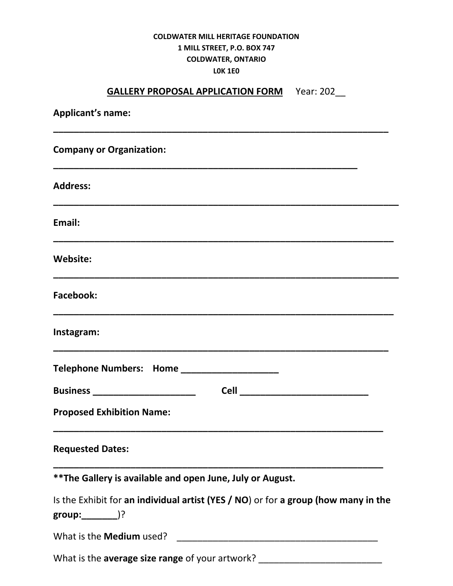## **COLDWATER MILL HERITAGE FOUNDATION 1 MILL STREET, P.O. BOX 747 COLDWATER, ONTARIO L0K 1E0**

## **GALLERY PROPOSAL APPLICATION FORM** Year: 202\_

| <b>Applicant's name:</b>                                                           |
|------------------------------------------------------------------------------------|
| <b>Company or Organization:</b>                                                    |
| <b>Address:</b>                                                                    |
| Email:                                                                             |
| <b>Website:</b>                                                                    |
| <b>Facebook:</b>                                                                   |
| Instagram:                                                                         |
| Telephone Numbers: Home ___________________                                        |
| <b>Business _______________________</b>                                            |
| <b>Proposed Exhibition Name:</b>                                                   |
| <b>Requested Dates:</b>                                                            |
| ** The Gallery is available and open June, July or August.                         |
| Is the Exhibit for an individual artist (YES / NO) or for a group (how many in the |
|                                                                                    |
| What is the average size range of your artwork? ________________________________   |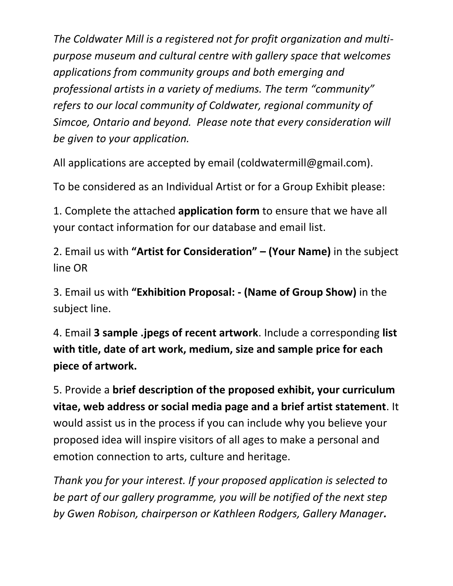*The Coldwater Mill is a registered not for profit organization and multipurpose museum and cultural centre with gallery space that welcomes applications from community groups and both emerging and professional artists in a variety of mediums. The term "community" refers to our local community of Coldwater, regional community of Simcoe, Ontario and beyond. Please note that every consideration will be given to your application.*

All applications are accepted by email (coldwatermill@gmail.com).

To be considered as an Individual Artist or for a Group Exhibit please:

1. Complete the attached **application form** to ensure that we have all your contact information for our database and email list.

2. Email us with **"Artist for Consideration" – (Your Name)** in the subject line OR

3. Email us with **"Exhibition Proposal: - (Name of Group Show)** in the subject line.

4. Email **3 sample .jpegs of recent artwork**. Include a corresponding **list with title, date of art work, medium, size and sample price for each piece of artwork.**

5. Provide a **brief description of the proposed exhibit, your curriculum vitae, web address or social media page and a brief artist statement**. It would assist us in the process if you can include why you believe your proposed idea will inspire visitors of all ages to make a personal and emotion connection to arts, culture and heritage.

*Thank you for your interest. If your proposed application is selected to be part of our gallery programme, you will be notified of the next step by Gwen Robison, chairperson or Kathleen Rodgers, Gallery Manager.*